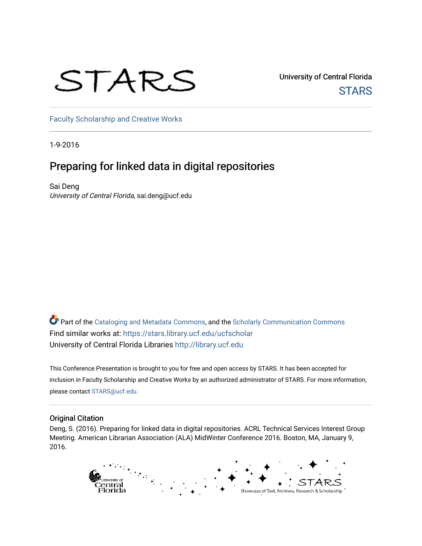### STARS

University of Central Florida **STARS** 

[Faculty Scholarship and Creative Works](https://stars.library.ucf.edu/ucfscholar) 

1-9-2016

#### Preparing for linked data in digital repositories

Sai Deng University of Central Florida, sai.deng@ucf.edu

Part of the [Cataloging and Metadata Commons,](http://network.bepress.com/hgg/discipline/1270?utm_source=stars.library.ucf.edu%2Fucfscholar%2F23&utm_medium=PDF&utm_campaign=PDFCoverPages) and the Scholarly Communication Commons Find similar works at: <https://stars.library.ucf.edu/ucfscholar> University of Central Florida Libraries [http://library.ucf.edu](http://library.ucf.edu/) 

This Conference Presentation is brought to you for free and open access by STARS. It has been accepted for inclusion in Faculty Scholarship and Creative Works by an authorized administrator of STARS. For more information, please contact [STARS@ucf.edu](mailto:STARS@ucf.edu).

#### Original Citation

Deng, S. (2016). Preparing for linked data in digital repositories. ACRL Technical Services Interest Group Meeting. American Librarian Association (ALA) MidWinter Conference 2016. Boston, MA, January 9, 2016.

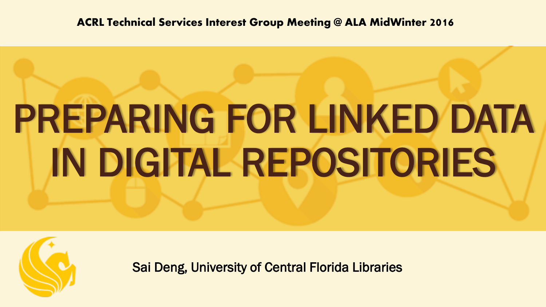**ACRL Technical Services Interest Group Meeting @ ALA MidWinter 2016**

# PREPARING FOR LINKED DATA IN DIGITAL REPOSITORIES



Sai Deng, University of Central Florida Libraries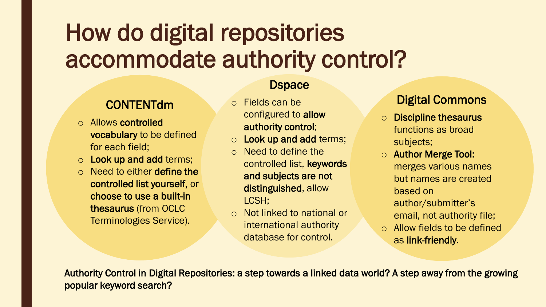### How do digital repositories accommodate authority control?

#### **CONTENTdm**

- o Allows controlled vocabulary to be defined for each field;
- o Look up and add terms;
- o Need to either define the controlled list yourself, or choose to use a built-in thesaurus (from OCLC Terminologies Service).

#### **Dspace**

- o Fields can be configured to allow authority control;
- o Look up and add terms;
- o Need to define the controlled list, keywords and subjects are not distinguished, allow LCSH;
- o Not linked to national or international authority database for control.

#### Digital Commons

- o Discipline thesaurus functions as broad subjects;
- o Author Merge Tool: merges various names but names are created based on author/submitter's email, not authority file;
- o Allow fields to be defined as link-friendly.

Authority Control in Digital Repositories: a step towards a linked data world? A step away from the growing popular keyword search?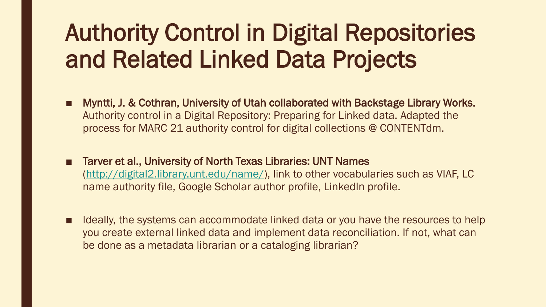### Authority Control in Digital Repositories and Related Linked Data Projects

- Myntti, J. & Cothran, University of Utah collaborated with Backstage Library Works. Authority control in a Digital Repository: Preparing for Linked data. Adapted the process for MARC 21 authority control for digital collections @ CONTENTdm.
- Tarver et al., University of North Texas Libraries: UNT Names [\(http://digital2.library.unt.edu/name/](http://digital2.library.unt.edu/name/)), link to other vocabularies such as VIAF, LC name authority file, Google Scholar author profile, LinkedIn profile.
- Ideally, the systems can accommodate linked data or you have the resources to help you create external linked data and implement data reconciliation. If not, what can be done as a metadata librarian or a cataloging librarian?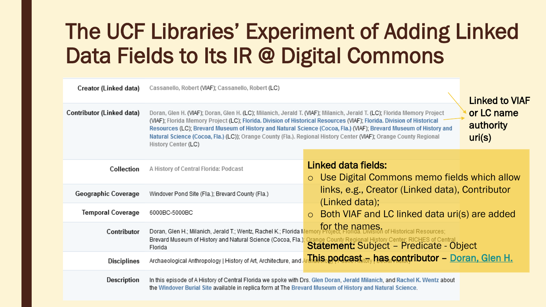### The UCF Libraries' Experiment of Adding Linked Data Fields to Its IR @ Digital Commons

| Creator (Linked data)     | Cassanello, Robert (VIAF); Cassanello, Robert (LC)                                                                                                                                                                                                                                                                                                                                                                                                                                                                                                       | <b>Linked to VIAF</b>                                                                                                 |  |  |
|---------------------------|----------------------------------------------------------------------------------------------------------------------------------------------------------------------------------------------------------------------------------------------------------------------------------------------------------------------------------------------------------------------------------------------------------------------------------------------------------------------------------------------------------------------------------------------------------|-----------------------------------------------------------------------------------------------------------------------|--|--|
| Contributor (Linked data) | or LC name<br>Doran, Glen H. (VIAF); Doran, Glen H. (LC); Milanich, Jerald T. (VIAF); Milanich, Jerald T. (LC); Florida Memory Project<br>(VIAF); Florida Memory Project (LC); Florida. Division of Historical Resources (VIAF); Florida. Division of Historical<br>authority<br>Resources (LC); Brevard Museum of History and Natural Science (Cocoa, Fla.) (VIAF); Brevard Museum of History and<br>Natural Science (Cocoa, Fla.) (LC)); Orange County (Fla.). Regional History Center (VIAF); Orange County Regional<br>uri(s)<br>History Center (LC) |                                                                                                                       |  |  |
| Collection                | A History of Central Florida: Podcast                                                                                                                                                                                                                                                                                                                                                                                                                                                                                                                    | Linked data fields:<br>o Use Digital Commons memo fields which allow                                                  |  |  |
| Geographic Coverage       | Windover Pond Site (Fla.); Brevard County (Fla.)                                                                                                                                                                                                                                                                                                                                                                                                                                                                                                         | links, e.g., Creator (Linked data), Contributor<br>(Linked data);                                                     |  |  |
| <b>Temporal Coverage</b>  | 6000BC-5000BC                                                                                                                                                                                                                                                                                                                                                                                                                                                                                                                                            | Both VIAF and LC linked data uri(s) are added<br>$\circ$                                                              |  |  |
| Contributor               | Doran, Glen H.; Milanich, Jerald T.; Wentz, Rachel K.; Florida Memor<br>Brevard Museum of History and Natural Science (Cocoa, Fla.)<br>Florida                                                                                                                                                                                                                                                                                                                                                                                                           | for the names.<br>Crange County Regional History Center; RICHES of Central<br>Statement: Subject - Predicate - Object |  |  |
| <b>Disciplines</b>        | Archaeological Anthropology   History of Art, Architecture, and                                                                                                                                                                                                                                                                                                                                                                                                                                                                                          | . This podcast <sub>tov</sub> has contributor – <u>Doran, Glen H.</u>                                                 |  |  |
| Description               | In this episode of A History of Central Florida we spoke with Drs. Glen Doran, Jerald Milanich, and Rachel K. Wentz about<br>the Windover Burial Site available in replica form at The Brevard Museum of History and Natural Science.                                                                                                                                                                                                                                                                                                                    |                                                                                                                       |  |  |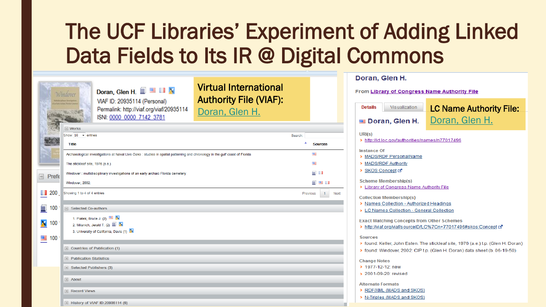### The UCF Libraries' Experiment of Adding Linked Data Fields to Its IR @ Digital Commons

|                                 | Doran, Glen H. $\blacksquare$ $\blacksquare$ $\blacksquare$ $\blacksquare$<br>Windover<br>VIAF ID: 20935114 (Personal)<br>Permalink: http://viaf.org/viaf/20935114<br>ISNI: 0000 0000 7142 3781 | <b>Virtual International</b><br><b>Authority File (VIAF):</b><br>Doran, Glen H. |                                                                                                                      | Doran, Glen H.                                                                         |                                                  |  |
|---------------------------------|-------------------------------------------------------------------------------------------------------------------------------------------------------------------------------------------------|---------------------------------------------------------------------------------|----------------------------------------------------------------------------------------------------------------------|----------------------------------------------------------------------------------------|--------------------------------------------------|--|
|                                 |                                                                                                                                                                                                 |                                                                                 |                                                                                                                      | From Library of Congress Name Authority File                                           |                                                  |  |
|                                 |                                                                                                                                                                                                 |                                                                                 |                                                                                                                      | <b>Details</b><br>Visualization<br>Doran, Glen H.                                      | <b>LC Name Authority File:</b><br>Doran, Glen H. |  |
|                                 | $=$ Works                                                                                                                                                                                       |                                                                                 |                                                                                                                      |                                                                                        |                                                  |  |
|                                 | Show $10 \rightarrow$ entries<br>Title<br>Archaeological investigations at Naval Live Oaks : studies in spatial patterning and chronology in the gulf coast of Florida                          |                                                                                 | Search:                                                                                                              | URI(s)<br>> http://id.loc.gov/authorities/names/n77017496                              |                                                  |  |
| <b>KO</b>                       |                                                                                                                                                                                                 |                                                                                 | ▲<br><b>Sources</b>                                                                                                  | <b>Instance Of</b><br>> MADS/RDF PersonalName                                          |                                                  |  |
|                                 |                                                                                                                                                                                                 |                                                                                 | 哩                                                                                                                    |                                                                                        |                                                  |  |
|                                 | The stickleaf site, 1976 (a.e.)                                                                                                                                                                 |                                                                                 | 哩                                                                                                                    | > MADS/RDF Authority                                                                   |                                                  |  |
|                                 | Windover: multidisciplinary investigations of an early archaic Florida cemetery                                                                                                                 |                                                                                 | E. O                                                                                                                 | SKOS Concept ⊡                                                                         |                                                  |  |
| Prefe                           | Windover, 2002:                                                                                                                                                                                 |                                                                                 | $\Box$ $\blacksquare$ $\blacksquare$                                                                                 | <b>Scheme Membership(s)</b>                                                            |                                                  |  |
|                                 |                                                                                                                                                                                                 |                                                                                 |                                                                                                                      | > Library of Congress Name Authority File                                              |                                                  |  |
| 200 Showing 1 to 4 of 4 entries |                                                                                                                                                                                                 |                                                                                 | $\overline{1}$<br>Previous<br>Next<br><b>Collection Membership(s)</b>                                                |                                                                                        |                                                  |  |
| Ξ<br>100                        | Selected Co-authors                                                                                                                                                                             |                                                                                 |                                                                                                                      | > Names Collection - Authorized Headings<br>> LC Names Collection - General Collection |                                                  |  |
|                                 | 1. Piatek, Bruce J. $(2)$ $\blacksquare$ X                                                                                                                                                      |                                                                                 |                                                                                                                      |                                                                                        |                                                  |  |
| <b>X</b> 100                    | 2. Milanich, Jerald T. (2) $\blacksquare$                                                                                                                                                       |                                                                                 | <b>Exact Matching Concepts from Other Schemes</b><br>> http://viaf.org/viaf/sourceID/LC%7Cn+77017496#skos:Concept c2 |                                                                                        |                                                  |  |
|                                 | 3. University of California, Davis (1)                                                                                                                                                          |                                                                                 |                                                                                                                      |                                                                                        |                                                  |  |
| ■ 100                           | <b>Sources</b><br>> found: Keller, John Esten. The stickleaf site, 1976 (a.e.) t.p. (Glen H. Doran)                                                                                             |                                                                                 |                                                                                                                      |                                                                                        |                                                  |  |
|                                 | Countries of Publication (1)                                                                                                                                                                    |                                                                                 | > found: Windover, 2002: CIP t.p. (Glen H. Doran) data sheet (b. 06-19-50)                                           |                                                                                        |                                                  |  |
|                                 | <b>E</b> Publication Statistics                                                                                                                                                                 |                                                                                 |                                                                                                                      | <b>Change Notes</b>                                                                    |                                                  |  |
|                                 | Selected Publishers (3)                                                                                                                                                                         |                                                                                 |                                                                                                                      | > 1977-12-12: new                                                                      |                                                  |  |
|                                 |                                                                                                                                                                                                 | > 2001-09-20: revised                                                           |                                                                                                                      |                                                                                        |                                                  |  |
|                                 | $\blacksquare$ About                                                                                                                                                                            | <b>Alternate Formats</b>                                                        |                                                                                                                      |                                                                                        |                                                  |  |
|                                 | <b>Record Views</b>                                                                                                                                                                             |                                                                                 |                                                                                                                      | RDF/XML (MADS and SKOS)                                                                |                                                  |  |
|                                 | History of VIAF ID:20935114 (6)                                                                                                                                                                 | > N-Triples (MADS and SKOS)                                                     |                                                                                                                      |                                                                                        |                                                  |  |
|                                 |                                                                                                                                                                                                 |                                                                                 |                                                                                                                      |                                                                                        |                                                  |  |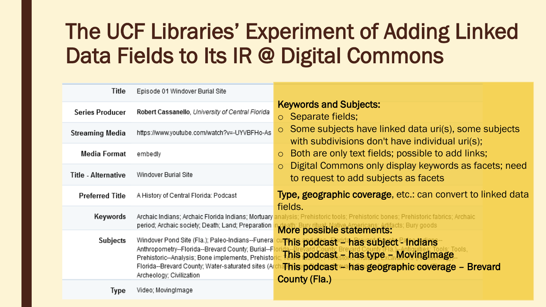### The UCF Libraries' Experiment of Adding Linked Data Fields to Its IR @ Digital Commons

| Title                  | Episode 01 Windover Burial Site                                                                                                                                                                                                              |                                                                                                                                                                                                 |  |  |  |
|------------------------|----------------------------------------------------------------------------------------------------------------------------------------------------------------------------------------------------------------------------------------------|-------------------------------------------------------------------------------------------------------------------------------------------------------------------------------------------------|--|--|--|
| <b>Series Producer</b> | Robert Cassanello, University of Central Florida                                                                                                                                                                                             | <b>Keywords and Subjects:</b><br>Separate fields;<br>$\circ$                                                                                                                                    |  |  |  |
| <b>Streaming Media</b> | https://www.youtube.com/watch?v=-UYVBFHo-As                                                                                                                                                                                                  | Some subjects have linked data uri(s), some subjects<br>with subdivisions don't have individual uri(s);                                                                                         |  |  |  |
| Media Format           | embedly                                                                                                                                                                                                                                      | Both are only text fields; possible to add links;<br>$\circ$                                                                                                                                    |  |  |  |
| Title - Alternative    | Windover Burial Site                                                                                                                                                                                                                         | Digital Commons only display keywords as facets; need<br>$\overline{O}$<br>to request to add subjects as facets                                                                                 |  |  |  |
| <b>Preferred Title</b> | A History of Central Florida: Podcast                                                                                                                                                                                                        | Type, geographic coverage, etc.: can convert to linked data<br>fields.<br>analysis; Prehistoric tools; Prehistoric bones; Prehistoric fabrics; Archaic-<br>More possible statements: Bury goods |  |  |  |
| Keywords               | Archaic Indians; Archaic Florida Indians; Mortuary<br>period; Archaic society; Death; Land; Preparation                                                                                                                                      |                                                                                                                                                                                                 |  |  |  |
| Subjects               | Windover Pond Site (Fla.); Paleo-Indians--Funera<br>Anthropometry--Florida--Brevard County; Burial--F<br>Prehistoric--Analysis; Bone implements, Prehistor<br>Florida--Brevard County; Water-saturated sites (Ar<br>Archeology; Civilization | This podcast - has subject - Indians<br>This podcast - has type - MovingImage<br><b>This podcast - has geographic coverage - Brevard</b><br>County (Fla.)                                       |  |  |  |
| <b>Ivpe</b>            | Video; MovingImage                                                                                                                                                                                                                           |                                                                                                                                                                                                 |  |  |  |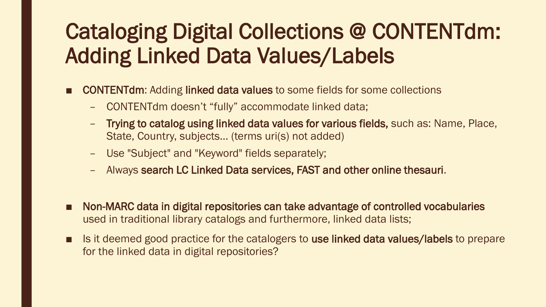### Cataloging Digital Collections @ CONTENTdm: Adding Linked Data Values/Labels

- **CONTENTdm:** Adding linked data values to some fields for some collections
	- CONTENTdm doesn't "fully" accommodate linked data;
	- Trying to catalog using linked data values for various fields, such as: Name, Place, State, Country, subjects… (terms uri(s) not added)
	- Use "Subject" and "Keyword" fields separately;
	- Always search LC Linked Data services, FAST and other online thesauri.
- Non-MARC data in digital repositories can take advantage of controlled vocabularies used in traditional library catalogs and furthermore, linked data lists;
- Is it deemed good practice for the catalogers to use linked data values/labels to prepare for the linked data in digital repositories?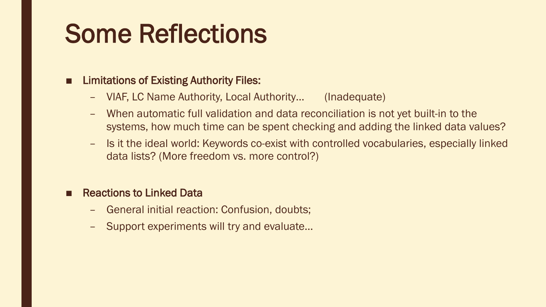### Some Reflections

#### ■ Limitations of Existing Authority Files:

- VIAF, LC Name Authority, Local Authority… (Inadequate)
- When automatic full validation and data reconciliation is not yet built-in to the systems, how much time can be spent checking and adding the linked data values?
- Is it the ideal world: Keywords co-exist with controlled vocabularies, especially linked data lists? (More freedom vs. more control?)

#### **Reactions to Linked Data**

- General initial reaction: Confusion, doubts;
- Support experiments will try and evaluate…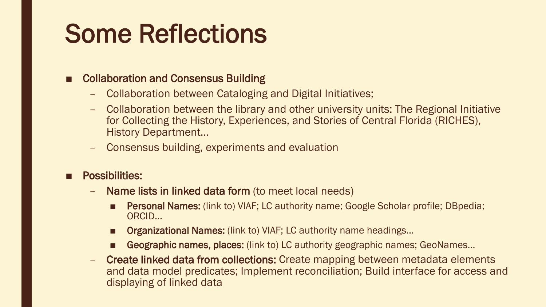### Some Reflections

#### ■ Collaboration and Consensus Building

- Collaboration between Cataloging and Digital Initiatives;
- Collaboration between the library and other university units: The Regional Initiative for Collecting the History, Experiences, and Stories of Central Florida (RICHES), History Department…
- Consensus building, experiments and evaluation
- Possibilities:
	- Name lists in linked data form (to meet local needs)
		- Personal Names: (link to) VIAF; LC authority name; Google Scholar profile; DBpedia; ORCID…
		- Organizational Names: (link to) VIAF; LC authority name headings...
		- Geographic names, places: (link to) LC authority geographic names; GeoNames...
	- Create linked data from collections: Create mapping between metadata elements and data model predicates; Implement reconciliation; Build interface for access and displaying of linked data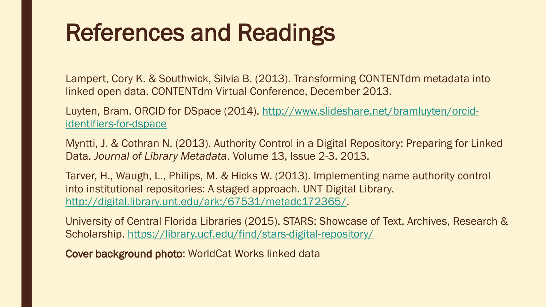### References and Readings

Lampert, Cory K. & Southwick, Silvia B. (2013). Transforming CONTENTdm metadata into linked open data. CONTENTdm Virtual Conference, December 2013.

Luyten, Bram. ORCID for DSpace [\(2014\). http://www.slideshare.net/bramluyten/orcid](http://www.slideshare.net/bramluyten/orcid-identifiers-for-dspace)identifiers-for-dspace

Myntti, J. & Cothran N. (2013). Authority Control in a Digital Repository: Preparing for Linked Data. *Journal of Library Metadata*. Volume 13, Issue 2-3, 2013.

Tarver, H., Waugh, L., Philips, M. & Hicks W. (2013). Implementing name authority control into institutional repositories: A staged approach. UNT Digital Library. <http://digital.library.unt.edu/ark:/67531/metadc172365/>.

University of Central Florida Libraries (2015). STARS: Showcase of Text, Archives, Research & Scholarship.<https://library.ucf.edu/find/stars-digital-repository/>

Cover background photo: WorldCat Works linked data